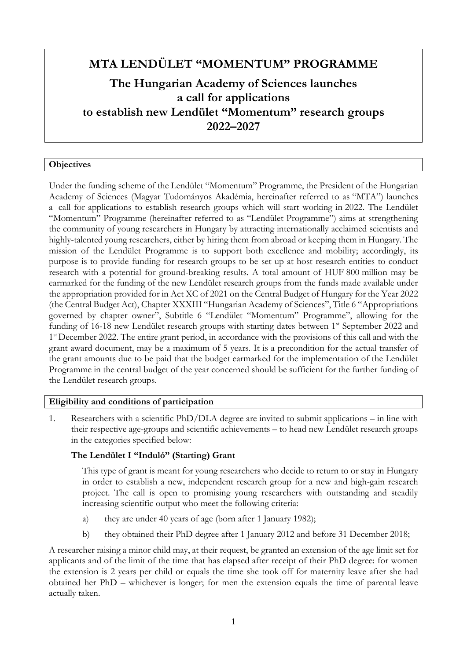# **MTA LENDÜLET "MOMENTUM" PROGRAMME**

# **The Hungarian Academy of Sciences launches a call for applications to establish new Lendület "Momentum" research groups 2022–2027**

### **Objectives**

Under the funding scheme of the Lendület "Momentum" Programme, the President of the Hungarian Academy of Sciences (Magyar Tudományos Akadémia, hereinafter referred to as "MTA") launches a call for applications to establish research groups which will start working in 2022. The Lendület "Momentum" Programme (hereinafter referred to as "Lendület Programme") aims at strengthening the community of young researchers in Hungary by attracting internationally acclaimed scientists and highly-talented young researchers, either by hiring them from abroad or keeping them in Hungary. The mission of the Lendület Programme is to support both excellence and mobility; accordingly, its purpose is to provide funding for research groups to be set up at host research entities to conduct research with a potential for ground-breaking results. A total amount of HUF 800 million may be earmarked for the funding of the new Lendület research groups from the funds made available under the appropriation provided for in Act XC of 2021 on the Central Budget of Hungary for the Year 2022 (the Central Budget Act), Chapter XXXIII "Hungarian Academy of Sciences", Title 6 "Appropriations governed by chapter owner", Subtitle 6 "Lendület "Momentum" Programme", allowing for the funding of 16-18 new Lendület research groups with starting dates between 1<sup>st</sup> September 2022 and 1<sup>st</sup> December 2022. The entire grant period, in accordance with the provisions of this call and with the grant award document, may be a maximum of 5 years. It is a precondition for the actual transfer of the grant amounts due to be paid that the budget earmarked for the implementation of the Lendület Programme in the central budget of the year concerned should be sufficient for the further funding of the Lendület research groups.

### **Eligibility and conditions of participation**

1. Researchers with a scientific PhD/DLA degree are invited to submit applications – in line with their respective age-groups and scientific achievements – to head new Lendület research groups in the categories specified below:

### **The Lendület I "Induló" (Starting) Grant**

This type of grant is meant for young researchers who decide to return to or stay in Hungary in order to establish a new, independent research group for a new and high-gain research project. The call is open to promising young researchers with outstanding and steadily increasing scientific output who meet the following criteria:

- a) they are under 40 years of age (born after 1 January 1982);
- b) they obtained their PhD degree after 1 January 2012 and before 31 December 2018;

A researcher raising a minor child may, at their request, be granted an extension of the age limit set for applicants and of the limit of the time that has elapsed after receipt of their PhD degree: for women the extension is 2 years per child or equals the time she took off for maternity leave after she had obtained her PhD – whichever is longer; for men the extension equals the time of parental leave actually taken.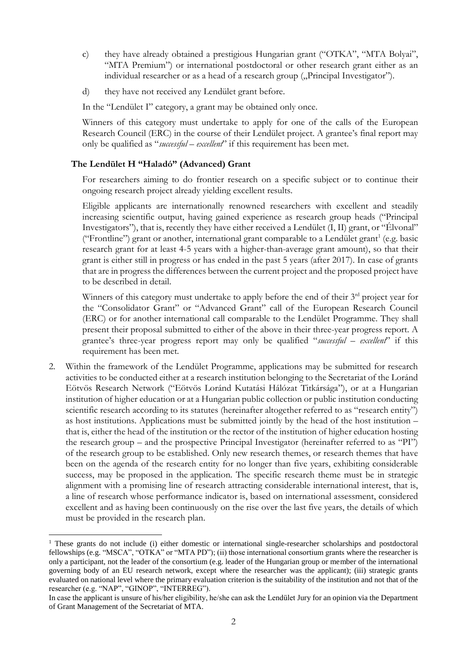- c) they have already obtained a prestigious Hungarian grant ("OTKA", "MTA Bolyai", "MTA Premium") or international postdoctoral or other research grant either as an individual researcher or as a head of a research group ("Principal Investigator").
- d) they have not received any Lendület grant before.

In the "Lendület I" category, a grant may be obtained only once.

Winners of this category must undertake to apply for one of the calls of the European Research Council (ERC) in the course of their Lendület project. A grantee's final report may only be qualified as "*successful – excellent*" if this requirement has been met.

# **The Lendület H "Haladó" (Advanced) Grant**

For researchers aiming to do frontier research on a specific subject or to continue their ongoing research project already yielding excellent results.

Eligible applicants are internationally renowned researchers with excellent and steadily increasing scientific output, having gained experience as research group heads ("Principal Investigators"), that is, recently they have either received a Lendület (I, II) grant, or "Élvonal" ("Frontline") grant or another, international grant comparable to a Lendület grant<sup>1</sup> (e.g. basic research grant for at least 4-5 years with a higher-than-average grant amount), so that their grant is either still in progress or has ended in the past 5 years (after 2017). In case of grants that are in progress the differences between the current project and the proposed project have to be described in detail.

Winners of this category must undertake to apply before the end of their  $3<sup>rd</sup>$  project year for the "Consolidator Grant" or "Advanced Grant" call of the European Research Council (ERC) or for another international call comparable to the Lendület Programme. They shall present their proposal submitted to either of the above in their three-year progress report. A grantee's three-year progress report may only be qualified "*successful – excellent*" if this requirement has been met.

2. Within the framework of the Lendület Programme, applications may be submitted for research activities to be conducted either at a research institution belonging to the Secretariat of the Loránd Eötvös Research Network ("Eötvös Loránd Kutatási Hálózat Titkársága"), or at a Hungarian institution of higher education or at a Hungarian public collection or public institution conducting scientific research according to its statutes (hereinafter altogether referred to as "research entity") as host institutions. Applications must be submitted jointly by the head of the host institution – that is, either the head of the institution or the rector of the institution of higher education hosting the research group – and the prospective Principal Investigator (hereinafter referred to as "PI") of the research group to be established. Only new research themes, or research themes that have been on the agenda of the research entity for no longer than five years, exhibiting considerable success, may be proposed in the application. The specific research theme must be in strategic alignment with a promising line of research attracting considerable international interest, that is, a line of research whose performance indicator is, based on international assessment, considered excellent and as having been continuously on the rise over the last five years, the details of which must be provided in the research plan.

 $\overline{a}$  $1$  These grants do not include (i) either domestic or international single-researcher scholarships and postdoctoral fellowships (e.g. "MSCA", "OTKA" or "MTA PD"); (ii) those international consortium grants where the researcher is only a participant, not the leader of the consortium (e.g. leader of the Hungarian group or member of the international governing body of an EU research network, except where the researcher was the applicant); (iii) strategic grants evaluated on national level where the primary evaluation criterion is the suitability of the institution and not that of the researcher (e.g. "NAP", "GINOP", "INTERREG").

In case the applicant is unsure of his/her eligibility, he/she can ask the Lendület Jury for an opinion via the Department of Grant Management of the Secretariat of MTA.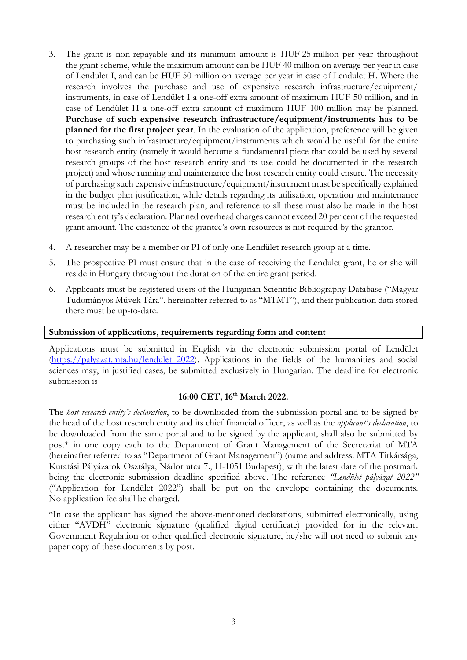- 3. The grant is non-repayable and its minimum amount is HUF 25 million per year throughout the grant scheme, while the maximum amount can be HUF 40 million on average per year in case of Lendület I, and can be HUF 50 million on average per year in case of Lendület H. Where the research involves the purchase and use of expensive research infrastructure/equipment/ instruments, in case of Lendület I a one-off extra amount of maximum HUF 50 million, and in case of Lendület H a one-off extra amount of maximum HUF 100 million may be planned. **Purchase of such expensive research infrastructure/equipment/instruments has to be planned for the first project year**. In the evaluation of the application, preference will be given to purchasing such infrastructure/equipment/instruments which would be useful for the entire host research entity (namely it would become a fundamental piece that could be used by several research groups of the host research entity and its use could be documented in the research project) and whose running and maintenance the host research entity could ensure. The necessity of purchasing such expensive infrastructure/equipment/instrument must be specifically explained in the budget plan justification, while details regarding its utilisation, operation and maintenance must be included in the research plan, and reference to all these must also be made in the host research entity's declaration. Planned overhead charges cannot exceed 20 per cent of the requested grant amount. The existence of the grantee's own resources is not required by the grantor.
- 4. A researcher may be a member or PI of only one Lendület research group at a time.
- 5. The prospective PI must ensure that in the case of receiving the Lendület grant, he or she will reside in Hungary throughout the duration of the entire grant period.
- 6. Applicants must be registered users of the Hungarian Scientific Bibliography Database ("Magyar Tudományos Művek Tára", hereinafter referred to as "MTMT"), and their publication data stored there must be up-to-date.

#### **Submission of applications, requirements regarding form and content**

Applications must be submitted in English via the electronic submission portal of Lendület [\(https://palyazat.mta.hu/lendulet\\_2022\)](https://palyazat.mta.hu/lendulet_2022). Applications in the fields of the humanities and social sciences may, in justified cases, be submitted exclusively in Hungarian. The deadline for electronic submission is

#### **16:00 CET, 16th March 2022.**

The *host research entity's declaration*, to be downloaded from the submission portal and to be signed by the head of the host research entity and its chief financial officer, as well as the *applicant's declaration*, to be downloaded from the same portal and to be signed by the applicant, shall also be submitted by post\* in one copy each to the Department of Grant Management of the Secretariat of MTA (hereinafter referred to as "Department of Grant Management") (name and address: MTA Titkársága, Kutatási Pályázatok Osztálya, Nádor utca 7., H-1051 Budapest), with the latest date of the postmark being the electronic submission deadline specified above. The reference *"Lendület pályázat 2022"* ("Application for Lendület 2022") shall be put on the envelope containing the documents. No application fee shall be charged.

\*In case the applicant has signed the above-mentioned declarations, submitted electronically, using either "AVDH" electronic signature (qualified digital certificate) provided for in the relevant Government Regulation or other qualified electronic signature, he/she will not need to submit any paper copy of these documents by post.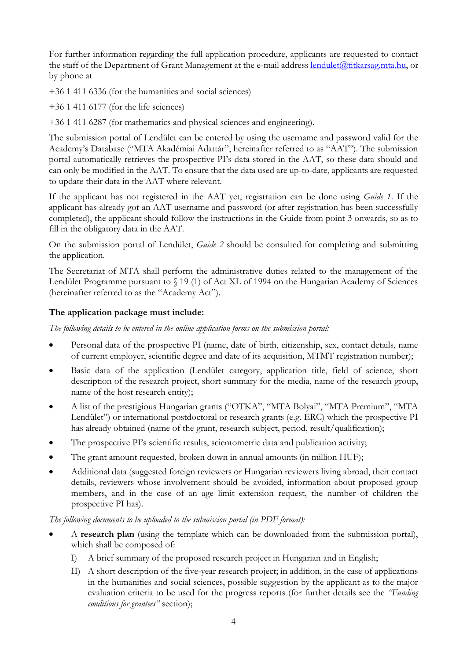For further information regarding the full application procedure, applicants are requested to contact the staff of the Department of Grant Management at the e-mail address [lendulet@titkarsag.mta.hu,](mailto:lendulet@titkarsag.mta.hu) or by phone at

+36 1 411 6336 (for the humanities and social sciences)

+36 1 411 6177 (for the life sciences)

+36 1 411 6287 (for mathematics and physical sciences and engineering).

The submission portal of Lendület can be entered by using the username and password valid for the Academy's Database ("MTA Akadémiai Adattár", hereinafter referred to as "AAT"). The submission portal automatically retrieves the prospective PI's data stored in the AAT, so these data should and can only be modified in the AAT. To ensure that the data used are up-to-date, applicants are requested to update their data in the AAT where relevant.

If the applicant has not registered in the AAT yet, registration can be done using *Guide 1*. If the applicant has already got an AAT username and password (or after registration has been successfully completed), the applicant should follow the instructions in the Guide from point 3 onwards, so as to fill in the obligatory data in the AAT.

On the submission portal of Lendület, *Guide 2* should be consulted for completing and submitting the application.

The Secretariat of MTA shall perform the administrative duties related to the management of the Lendület Programme pursuant to § 19 (1) of Act XL of 1994 on the Hungarian Academy of Sciences (hereinafter referred to as the "Academy Act").

# **The application package must include:**

*The following details to be entered in the online application forms on the submission portal:*

- Personal data of the prospective PI (name, date of birth, citizenship, sex, contact details, name of current employer, scientific degree and date of its acquisition, MTMT registration number);
- Basic data of the application (Lendület category, application title, field of science, short description of the research project, short summary for the media, name of the research group, name of the host research entity);
- A list of the prestigious Hungarian grants ("OTKA", "MTA Bolyai", "MTA Premium", "MTA Lendület") or international postdoctoral or research grants (e.g. ERC) which the prospective PI has already obtained (name of the grant, research subject, period, result/qualification);
- The prospective PI's scientific results, scientometric data and publication activity;
- The grant amount requested, broken down in annual amounts (in million HUF);
- Additional data (suggested foreign reviewers or Hungarian reviewers living abroad, their contact details, reviewers whose involvement should be avoided, information about proposed group members, and in the case of an age limit extension request, the number of children the prospective PI has).

*The following documents to be uploaded to the submission portal (in PDF format):*

- A **research plan** (using the template which can be downloaded from the submission portal), which shall be composed of:
	- I) A brief summary of the proposed research project in Hungarian and in English;
	- II) A short description of the five-year research project; in addition, in the case of applications in the humanities and social sciences, possible suggestion by the applicant as to the major evaluation criteria to be used for the progress reports (for further details see the *"Funding conditions for grantees"* section);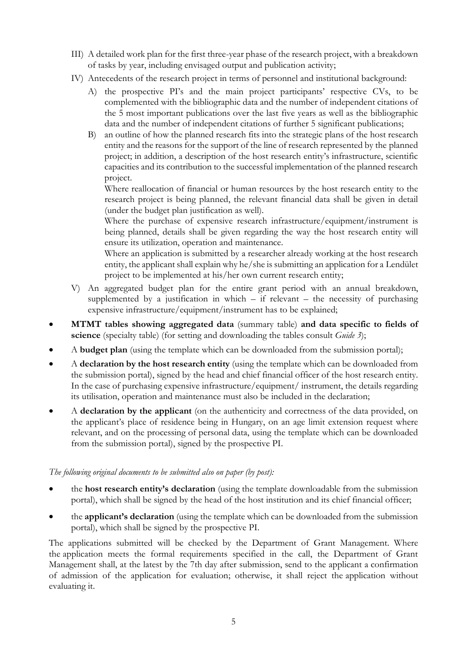- III) A detailed work plan for the first three-year phase of the research project, with a breakdown of tasks by year, including envisaged output and publication activity;
- IV) Antecedents of the research project in terms of personnel and institutional background:
	- A) the prospective PI's and the main project participants' respective CVs, to be complemented with the bibliographic data and the number of independent citations of the 5 most important publications over the last five years as well as the bibliographic data and the number of independent citations of further 5 significant publications;
	- B) an outline of how the planned research fits into the strategic plans of the host research entity and the reasons for the support of the line of research represented by the planned project; in addition, a description of the host research entity's infrastructure, scientific capacities and its contribution to the successful implementation of the planned research project.

Where reallocation of financial or human resources by the host research entity to the research project is being planned, the relevant financial data shall be given in detail (under the budget plan justification as well).

Where the purchase of expensive research infrastructure/equipment/instrument is being planned, details shall be given regarding the way the host research entity will ensure its utilization, operation and maintenance.

Where an application is submitted by a researcher already working at the host research entity, the applicant shall explain why he/she is submitting an application for a Lendület project to be implemented at his/her own current research entity;

- V) An aggregated budget plan for the entire grant period with an annual breakdown, supplemented by a justification in which  $-$  if relevant  $-$  the necessity of purchasing expensive infrastructure/equipment/instrument has to be explained;
- **MTMT tables showing aggregated data** (summary table) **and data specific to fields of science** (specialty table) (for setting and downloading the tables consult *Guide 3*);
- A **budget plan** (using the template which can be downloaded from the submission portal);
- A **declaration by the host research entity** (using the template which can be downloaded from the submission portal), signed by the head and chief financial officer of the host research entity. In the case of purchasing expensive infrastructure/equipment/ instrument, the details regarding its utilisation, operation and maintenance must also be included in the declaration;
- A **declaration by the applicant** (on the authenticity and correctness of the data provided, on the applicant's place of residence being in Hungary, on an age limit extension request where relevant, and on the processing of personal data, using the template which can be downloaded from the submission portal), signed by the prospective PI.

### *The following original documents to be submitted also on paper (by post):*

- the **host research entity's declaration** (using the template downloadable from the submission portal), which shall be signed by the head of the host institution and its chief financial officer;
- the **applicant's declaration** (using the template which can be downloaded from the submission portal), which shall be signed by the prospective PI.

The applications submitted will be checked by the Department of Grant Management. Where the application meets the formal requirements specified in the call, the Department of Grant Management shall, at the latest by the 7th day after submission, send to the applicant a confirmation of admission of the application for evaluation; otherwise, it shall reject the application without evaluating it.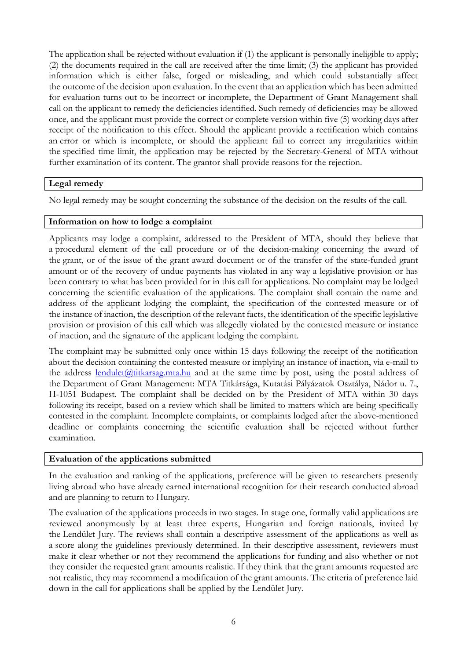The application shall be rejected without evaluation if (1) the applicant is personally ineligible to apply; (2) the documents required in the call are received after the time limit; (3) the applicant has provided information which is either false, forged or misleading, and which could substantially affect the outcome of the decision upon evaluation. In the event that an application which has been admitted for evaluation turns out to be incorrect or incomplete, the Department of Grant Management shall call on the applicant to remedy the deficiencies identified. Such remedy of deficiencies may be allowed once, and the applicant must provide the correct or complete version within five (5) working days after receipt of the notification to this effect. Should the applicant provide a rectification which contains an error or which is incomplete, or should the applicant fail to correct any irregularities within the specified time limit, the application may be rejected by the Secretary-General of MTA without further examination of its content. The grantor shall provide reasons for the rejection.

# **Legal remedy**

No legal remedy may be sought concerning the substance of the decision on the results of the call.

### **Information on how to lodge a complaint**

Applicants may lodge a complaint, addressed to the President of MTA, should they believe that a procedural element of the call procedure or of the decision-making concerning the award of the grant, or of the issue of the grant award document or of the transfer of the state-funded grant amount or of the recovery of undue payments has violated in any way a legislative provision or has been contrary to what has been provided for in this call for applications. No complaint may be lodged concerning the scientific evaluation of the applications. The complaint shall contain the name and address of the applicant lodging the complaint, the specification of the contested measure or of the instance of inaction, the description of the relevant facts, the identification of the specific legislative provision or provision of this call which was allegedly violated by the contested measure or instance of inaction, and the signature of the applicant lodging the complaint.

The complaint may be submitted only once within 15 days following the receipt of the notification about the decision containing the contested measure or implying an instance of inaction, via e-mail to the address [lendulet@titkarsag.mta.hu](mailto:lendulet@titkarsag.mta.hu) and at the same time by post, using the postal address of the Department of Grant Management: MTA Titkársága, Kutatási Pályázatok Osztálya, Nádor u. 7., H-1051 Budapest. The complaint shall be decided on by the President of MTA within 30 days following its receipt, based on a review which shall be limited to matters which are being specifically contested in the complaint. Incomplete complaints, or complaints lodged after the above-mentioned deadline or complaints concerning the scientific evaluation shall be rejected without further examination.

### **Evaluation of the applications submitted**

In the evaluation and ranking of the applications, preference will be given to researchers presently living abroad who have already earned international recognition for their research conducted abroad and are planning to return to Hungary.

The evaluation of the applications proceeds in two stages. In stage one, formally valid applications are reviewed anonymously by at least three experts, Hungarian and foreign nationals, invited by the Lendület Jury. The reviews shall contain a descriptive assessment of the applications as well as a score along the guidelines previously determined. In their descriptive assessment, reviewers must make it clear whether or not they recommend the applications for funding and also whether or not they consider the requested grant amounts realistic. If they think that the grant amounts requested are not realistic, they may recommend a modification of the grant amounts. The criteria of preference laid down in the call for applications shall be applied by the Lendület Jury.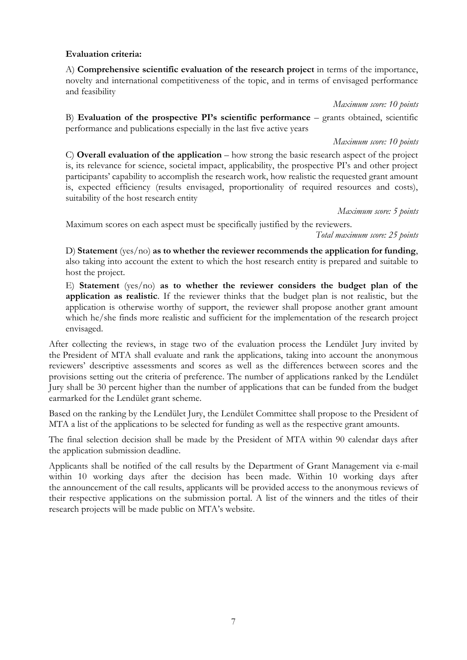# **Evaluation criteria:**

A) **Comprehensive scientific evaluation of the research project** in terms of the importance, novelty and international competitiveness of the topic, and in terms of envisaged performance and feasibility

*Maximum score: 10 points*

B) **Evaluation of the prospective PI's scientific performance** – grants obtained, scientific performance and publications especially in the last five active years

*Maximum score: 10 points*

C) **Overall evaluation of the application** – how strong the basic research aspect of the project is, its relevance for science, societal impact, applicability, the prospective PI's and other project participants' capability to accomplish the research work, how realistic the requested grant amount is, expected efficiency (results envisaged, proportionality of required resources and costs), suitability of the host research entity

*Maximum score: 5 points*

Maximum scores on each aspect must be specifically justified by the reviewers.

*Total maximum score: 25 points*

D) **Statement** (yes/no) **as to whether the reviewer recommends the application for funding**, also taking into account the extent to which the host research entity is prepared and suitable to host the project.

E) **Statement** (yes/no) **as to whether the reviewer considers the budget plan of the application as realistic**. If the reviewer thinks that the budget plan is not realistic, but the application is otherwise worthy of support, the reviewer shall propose another grant amount which he/she finds more realistic and sufficient for the implementation of the research project envisaged.

After collecting the reviews, in stage two of the evaluation process the Lendület Jury invited by the President of MTA shall evaluate and rank the applications, taking into account the anonymous reviewers' descriptive assessments and scores as well as the differences between scores and the provisions setting out the criteria of preference. The number of applications ranked by the Lendület Jury shall be 30 percent higher than the number of applications that can be funded from the budget earmarked for the Lendület grant scheme.

Based on the ranking by the Lendület Jury, the Lendület Committee shall propose to the President of MTA a list of the applications to be selected for funding as well as the respective grant amounts.

The final selection decision shall be made by the President of MTA within 90 calendar days after the application submission deadline.

Applicants shall be notified of the call results by the Department of Grant Management via e-mail within 10 working days after the decision has been made. Within 10 working days after the announcement of the call results, applicants will be provided access to the anonymous reviews of their respective applications on the submission portal. A list of the winners and the titles of their research projects will be made public on MTA's website.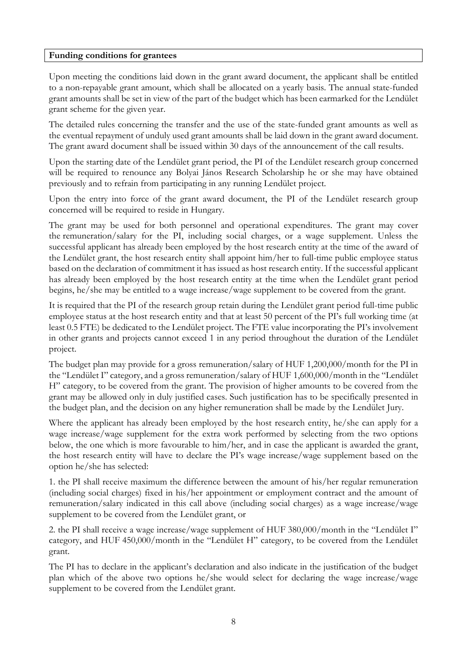#### **Funding conditions for grantees**

Upon meeting the conditions laid down in the grant award document, the applicant shall be entitled to a non-repayable grant amount, which shall be allocated on a yearly basis. The annual state-funded grant amounts shall be set in view of the part of the budget which has been earmarked for the Lendület grant scheme for the given year.

The detailed rules concerning the transfer and the use of the state-funded grant amounts as well as the eventual repayment of unduly used grant amounts shall be laid down in the grant award document. The grant award document shall be issued within 30 days of the announcement of the call results.

Upon the starting date of the Lendület grant period, the PI of the Lendület research group concerned will be required to renounce any Bolyai János Research Scholarship he or she may have obtained previously and to refrain from participating in any running Lendület project.

Upon the entry into force of the grant award document, the PI of the Lendület research group concerned will be required to reside in Hungary.

The grant may be used for both personnel and operational expenditures. The grant may cover the remuneration/salary for the PI, including social charges, or a wage supplement. Unless the successful applicant has already been employed by the host research entity at the time of the award of the Lendület grant, the host research entity shall appoint him/her to full-time public employee status based on the declaration of commitment it has issued as host research entity. If the successful applicant has already been employed by the host research entity at the time when the Lendület grant period begins, he/she may be entitled to a wage increase/wage supplement to be covered from the grant.

It is required that the PI of the research group retain during the Lendület grant period full-time public employee status at the host research entity and that at least 50 percent of the PI's full working time (at least 0.5 FTE) be dedicated to the Lendület project. The FTE value incorporating the PI's involvement in other grants and projects cannot exceed 1 in any period throughout the duration of the Lendület project.

The budget plan may provide for a gross remuneration/salary of HUF 1,200,000/month for the PI in the "Lendület I" category, and a gross remuneration/salary of HUF 1,600,000/month in the "Lendület H" category, to be covered from the grant. The provision of higher amounts to be covered from the grant may be allowed only in duly justified cases. Such justification has to be specifically presented in the budget plan, and the decision on any higher remuneration shall be made by the Lendület Jury.

Where the applicant has already been employed by the host research entity, he/she can apply for a wage increase/wage supplement for the extra work performed by selecting from the two options below, the one which is more favourable to him/her, and in case the applicant is awarded the grant, the host research entity will have to declare the PI's wage increase/wage supplement based on the option he/she has selected:

1. the PI shall receive maximum the difference between the amount of his/her regular remuneration (including social charges) fixed in his/her appointment or employment contract and the amount of remuneration/salary indicated in this call above (including social charges) as a wage increase/wage supplement to be covered from the Lendület grant, or

2. the PI shall receive a wage increase/wage supplement of HUF 380,000/month in the "Lendület I" category, and HUF 450,000/month in the "Lendület H" category, to be covered from the Lendület grant.

The PI has to declare in the applicant's declaration and also indicate in the justification of the budget plan which of the above two options he/she would select for declaring the wage increase/wage supplement to be covered from the Lendület grant.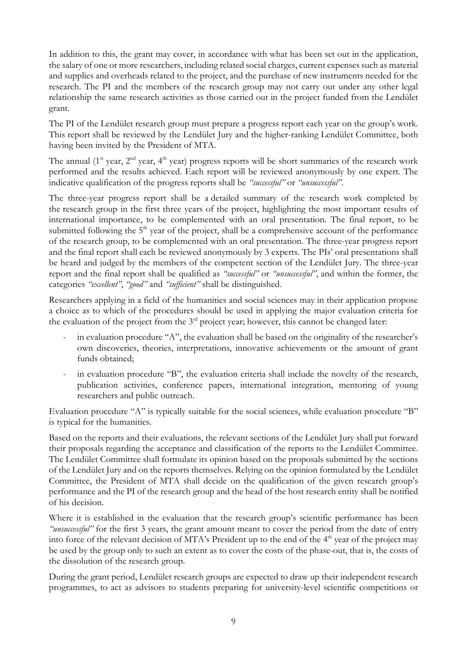In addition to this, the grant may cover, in accordance with what has been set out in the application, the salary of one or more researchers, including related social charges, current expenses such as material and supplies and overheads related to the project, and the purchase of new instruments needed for the research. The PI and the members of the research group may not carry out under any other legal relationship the same research activities as those carried out in the project funded from the Lendület grant.

The PI of the Lendület research group must prepare a progress report each year on the group's work. This report shall be reviewed by the Lendület Jury and the higher-ranking Lendület Committee, both having been invited by the President of MTA.

The annual ( $1<sup>st</sup>$  year,  $2<sup>nd</sup>$  year,  $4<sup>th</sup>$  year) progress reports will be short summaries of the research work performed and the results achieved. Each report will be reviewed anonymously by one expert. The indicative qualification of the progress reports shall be *"successful"* or *"unsuccessful"*.

The three-year progress report shall be a detailed summary of the research work completed by the research group in the first three years of the project, highlighting the most important results of international importance, to be complemented with an oral presentation. The final report, to be submitted following the  $5<sup>th</sup>$  year of the project, shall be a comprehensive account of the performance of the research group, to be complemented with an oral presentation. The three-year progress report and the final report shall each be reviewed anonymously by 3 experts. The PIs' oral presentations shall be heard and judged by the members of the competent section of the Lendület Jury. The three-year report and the final report shall be qualified as *"successful"* or *"unsuccessful"*, and within the former, the categories *"excellent"*, *"good"* and *"sufficient"* shall be distinguished.

Researchers applying in a field of the humanities and social sciences may in their application propose a choice as to which of the procedures should be used in applying the major evaluation criteria for the evaluation of the project from the  $3<sup>rd</sup>$  project year; however, this cannot be changed later:

- in evaluation procedure "A", the evaluation shall be based on the originality of the researcher's own discoveries, theories, interpretations, innovative achievements or the amount of grant funds obtained;
- in evaluation procedure "B", the evaluation criteria shall include the novelty of the research, publication activities, conference papers, international integration, mentoring of young researchers and public outreach.

Evaluation procedure "A" is typically suitable for the social sciences, while evaluation procedure "B" is typical for the humanities.

Based on the reports and their evaluations, the relevant sections of the Lendület Jury shall put forward their proposals regarding the acceptance and classification of the reports to the Lendület Committee. The Lendület Committee shall formulate its opinion based on the proposals submitted by the sections of the Lendület Jury and on the reports themselves. Relying on the opinion formulated by the Lendület Committee, the President of MTA shall decide on the qualification of the given research group's performance and the PI of the research group and the head of the host research entity shall be notified of his decision.

Where it is established in the evaluation that the research group's scientific performance has been *"unsuccessful"* for the first 3 years, the grant amount meant to cover the period from the date of entry into force of the relevant decision of MTA's President up to the end of the 4<sup>th</sup> year of the project may be used by the group only to such an extent as to cover the costs of the phase-out, that is, the costs of the dissolution of the research group.

During the grant period, Lendület research groups are expected to draw up their independent research programmes, to act as advisors to students preparing for university-level scientific competitions or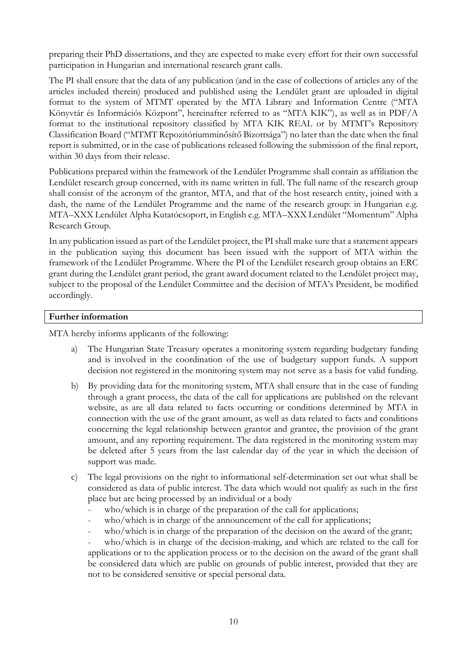preparing their PhD dissertations, and they are expected to make every effort for their own successful participation in Hungarian and international research grant calls.

The PI shall ensure that the data of any publication (and in the case of collections of articles any of the articles included therein) produced and published using the Lendület grant are uploaded in digital format to the system of MTMT operated by the MTA Library and Information Centre ("MTA Könyvtár és Információs Központ", hereinafter referred to as "MTA KIK"), as well as in PDF/A format to the institutional repository classified by MTA KIK REAL or by MTMT's Repository Classification Board ("MTMT Repozitóriumminősítő Bizottsága") no later than the date when the final report is submitted, or in the case of publications released following the submission of the final report, within 30 days from their release.

Publications prepared within the framework of the Lendület Programme shall contain as affiliation the Lendület research group concerned, with its name written in full. The full name of the research group shall consist of the acronym of the grantor, MTA, and that of the host research entity, joined with a dash, the name of the Lendület Programme and the name of the research group: in Hungarian e.g. MTA–XXX Lendület Alpha Kutatócsoport, in English e.g. MTA–XXX Lendület "Momentum" Alpha Research Group.

In any publication issued as part of the Lendület project, the PI shall make sure that a statement appears in the publication saying this document has been issued with the support of MTA within the framework of the Lendület Programme. Where the PI of the Lendület research group obtains an ERC grant during the Lendület grant period, the grant award document related to the Lendület project may, subject to the proposal of the Lendület Committee and the decision of MTA's President, be modified accordingly.

# **Further information**

MTA hereby informs applicants of the following:

- a) The Hungarian State Treasury operates a monitoring system regarding budgetary funding and is involved in the coordination of the use of budgetary support funds. A support decision not registered in the monitoring system may not serve as a basis for valid funding.
- b) By providing data for the monitoring system, MTA shall ensure that in the case of funding through a grant process, the data of the call for applications are published on the relevant website, as are all data related to facts occurring or conditions determined by MTA in connection with the use of the grant amount, as well as data related to facts and conditions concerning the legal relationship between grantor and grantee, the provision of the grant amount, and any reporting requirement. The data registered in the monitoring system may be deleted after 5 years from the last calendar day of the year in which the decision of support was made.
- c) The legal provisions on the right to informational self-determination set out what shall be considered as data of public interest. The data which would not qualify as such in the first place but are being processed by an individual or a body
	- who/which is in charge of the preparation of the call for applications;
	- who/which is in charge of the announcement of the call for applications;
	- who/which is in charge of the preparation of the decision on the award of the grant;

- who/which is in charge of the decision-making, and which are related to the call for applications or to the application process or to the decision on the award of the grant shall be considered data which are public on grounds of public interest, provided that they are not to be considered sensitive or special personal data.